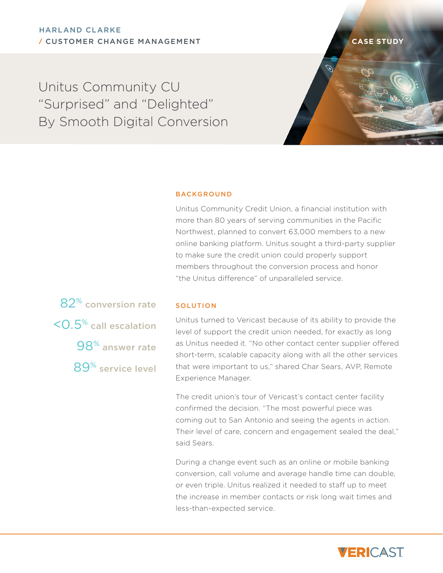Unitus Community CU "Surprised" and "Delighted" By Smooth Digital Conversion

## **BACKGROUND**

Unitus Community Credit Union, a financial institution with more than 80 years of serving communities in the Pacific Northwest, planned to convert 63,000 members to a new online banking platform. Unitus sought a third-party supplier to make sure the credit union could properly support members throughout the conversion process and honor "the Unitus difference" of unparalleled service.

82% conversion rate <0.5% call escalation 98% answer rate 89% service level

## SOLUTION

Unitus turned to Vericast because of its ability to provide the level of support the credit union needed, for exactly as long as Unitus needed it. "No other contact center supplier offered short-term, scalable capacity along with all the other services that were important to us," shared Char Sears, AVP, Remote Experience Manager.

The credit union's tour of Vericast's contact center facility confirmed the decision. "The most powerful piece was coming out to San Antonio and seeing the agents in action. Their level of care, concern and engagement sealed the deal," said Sears.

During a change event such as an online or mobile banking conversion, call volume and average handle time can double, or even triple. Unitus realized it needed to staff up to meet the increase in member contacts or risk long wait times and less-than-expected service.